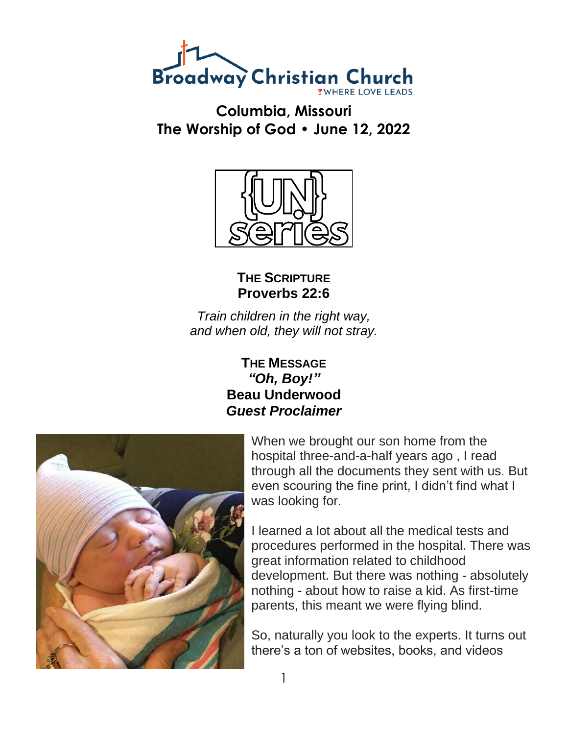

**Columbia, Missouri The Worship of God • June 12, 2022**



**THE SCRIPTURE Proverbs 22:6**

*Train children in the right way, and when old, they will not stray.*

## **THE MESSAGE** *"Oh, Boy!"* **Beau Underwood** *Guest Proclaimer*



When we brought our son home from the hospital three-and-a-half years ago , I read through all the documents they sent with us. But even scouring the fine print, I didn't find what I was looking for.

I learned a lot about all the medical tests and procedures performed in the hospital. There was great information related to childhood development. But there was nothing - absolutely nothing - about how to raise a kid. As first-time parents, this meant we were flying blind.

So, naturally you look to the experts. It turns out there's a ton of websites, books, and videos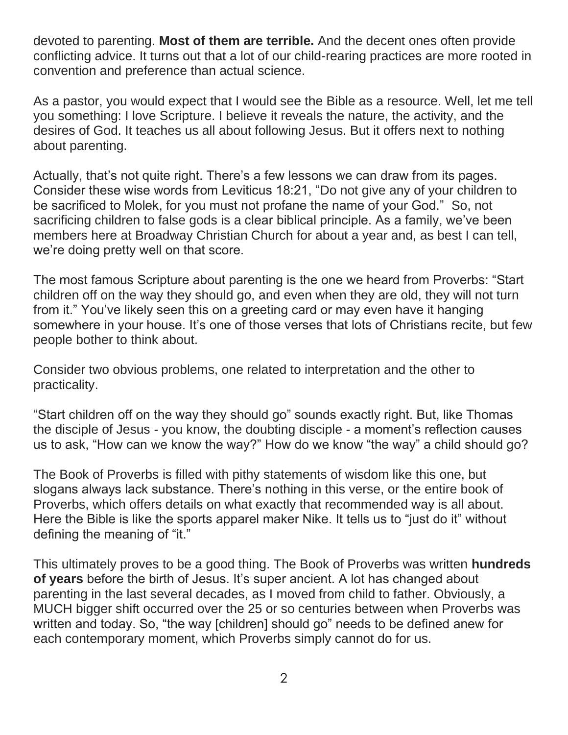devoted to parenting. **Most of them are terrible.** And the decent ones often provide conflicting advice. It turns out that a lot of our child-rearing practices are more rooted in convention and preference than actual science.

As a pastor, you would expect that I would see the Bible as a resource. Well, let me tell you something: I love Scripture. I believe it reveals the nature, the activity, and the desires of God. It teaches us all about following Jesus. But it offers next to nothing about parenting.

Actually, that's not quite right. There's a few lessons we can draw from its pages. Consider these wise words from Leviticus 18:21, "Do not give any of your children to be sacrificed to Molek, for you must not profane the name of your God." So, not sacrificing children to false gods is a clear biblical principle. As a family, we've been members here at Broadway Christian Church for about a year and, as best I can tell, we're doing pretty well on that score.

The most famous Scripture about parenting is the one we heard from Proverbs: "Start children off on the way they should go, and even when they are old, they will not turn from it." You've likely seen this on a greeting card or may even have it hanging somewhere in your house. It's one of those verses that lots of Christians recite, but few people bother to think about.

Consider two obvious problems, one related to interpretation and the other to practicality.

"Start children off on the way they should go" sounds exactly right. But, like Thomas the disciple of Jesus - you know, the doubting disciple - a moment's reflection causes us to ask, "How can we know the way?" How do we know "the way" a child should go?

The Book of Proverbs is filled with pithy statements of wisdom like this one, but slogans always lack substance. There's nothing in this verse, or the entire book of Proverbs, which offers details on what exactly that recommended way is all about. Here the Bible is like the sports apparel maker Nike. It tells us to "just do it" without defining the meaning of "it."

This ultimately proves to be a good thing. The Book of Proverbs was written **hundreds of years** before the birth of Jesus. It's super ancient. A lot has changed about parenting in the last several decades, as I moved from child to father. Obviously, a MUCH bigger shift occurred over the 25 or so centuries between when Proverbs was written and today. So, "the way [children] should go" needs to be defined anew for each contemporary moment, which Proverbs simply cannot do for us.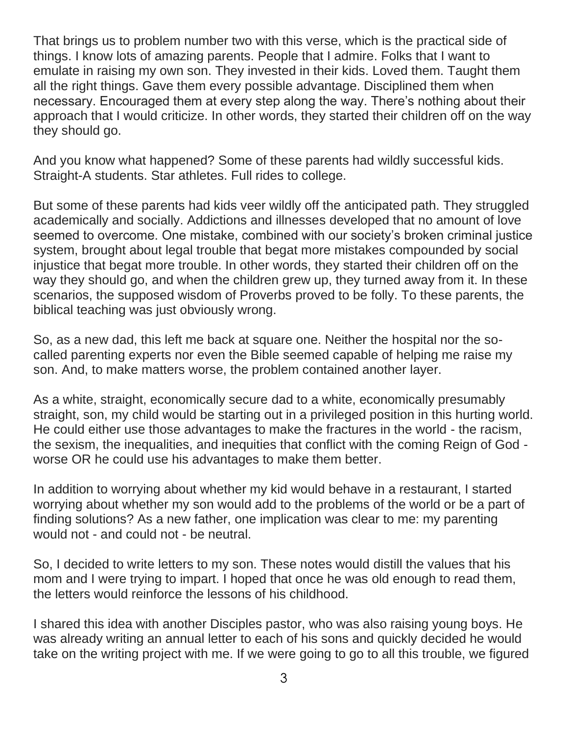That brings us to problem number two with this verse, which is the practical side of things. I know lots of amazing parents. People that I admire. Folks that I want to emulate in raising my own son. They invested in their kids. Loved them. Taught them all the right things. Gave them every possible advantage. Disciplined them when necessary. Encouraged them at every step along the way. There's nothing about their approach that I would criticize. In other words, they started their children off on the way they should go.

And you know what happened? Some of these parents had wildly successful kids. Straight-A students. Star athletes. Full rides to college.

But some of these parents had kids veer wildly off the anticipated path. They struggled academically and socially. Addictions and illnesses developed that no amount of love seemed to overcome. One mistake, combined with our society's broken criminal justice system, brought about legal trouble that begat more mistakes compounded by social injustice that begat more trouble. In other words, they started their children off on the way they should go, and when the children grew up, they turned away from it. In these scenarios, the supposed wisdom of Proverbs proved to be folly. To these parents, the biblical teaching was just obviously wrong.

So, as a new dad, this left me back at square one. Neither the hospital nor the socalled parenting experts nor even the Bible seemed capable of helping me raise my son. And, to make matters worse, the problem contained another layer.

As a white, straight, economically secure dad to a white, economically presumably straight, son, my child would be starting out in a privileged position in this hurting world. He could either use those advantages to make the fractures in the world - the racism, the sexism, the inequalities, and inequities that conflict with the coming Reign of God worse OR he could use his advantages to make them better.

In addition to worrying about whether my kid would behave in a restaurant, I started worrying about whether my son would add to the problems of the world or be a part of finding solutions? As a new father, one implication was clear to me: my parenting would not - and could not - be neutral.

So, I decided to write letters to my son. These notes would distill the values that his mom and I were trying to impart. I hoped that once he was old enough to read them, the letters would reinforce the lessons of his childhood.

I shared this idea with another Disciples pastor, who was also raising young boys. He was already writing an annual letter to each of his sons and quickly decided he would take on the writing project with me. If we were going to go to all this trouble, we figured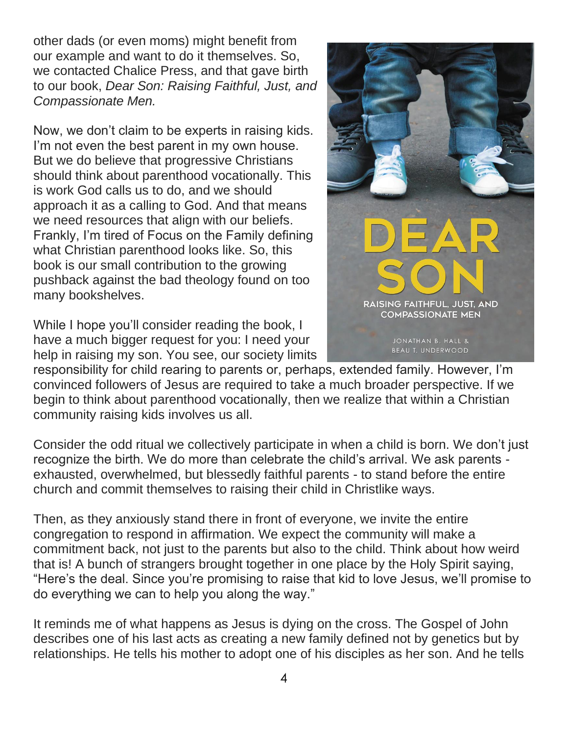other dads (or even moms) might benefit from our example and want to do it themselves. So, we contacted Chalice Press, and that gave birth to our book, *Dear Son: Raising Faithful, Just, and Compassionate Men.*

Now, we don't claim to be experts in raising kids. I'm not even the best parent in my own house. But we do believe that progressive Christians should think about parenthood vocationally. This is work God calls us to do, and we should approach it as a calling to God. And that means we need resources that align with our beliefs. Frankly, I'm tired of Focus on the Family defining what Christian parenthood looks like. So, this book is our small contribution to the growing pushback against the bad theology found on too many bookshelves.

While I hope you'll consider reading the book, I have a much bigger request for you: I need your help in raising my son. You see, our society limits



responsibility for child rearing to parents or, perhaps, extended family. However, I'm convinced followers of Jesus are required to take a much broader perspective. If we begin to think about parenthood vocationally, then we realize that within a Christian community raising kids involves us all.

Consider the odd ritual we collectively participate in when a child is born. We don't just recognize the birth. We do more than celebrate the child's arrival. We ask parents exhausted, overwhelmed, but blessedly faithful parents - to stand before the entire church and commit themselves to raising their child in Christlike ways.

Then, as they anxiously stand there in front of everyone, we invite the entire congregation to respond in affirmation. We expect the community will make a commitment back, not just to the parents but also to the child. Think about how weird that is! A bunch of strangers brought together in one place by the Holy Spirit saying, "Here's the deal. Since you're promising to raise that kid to love Jesus, we'll promise to do everything we can to help you along the way."

It reminds me of what happens as Jesus is dying on the cross. The Gospel of John describes one of his last acts as creating a new family defined not by genetics but by relationships. He tells his mother to adopt one of his disciples as her son. And he tells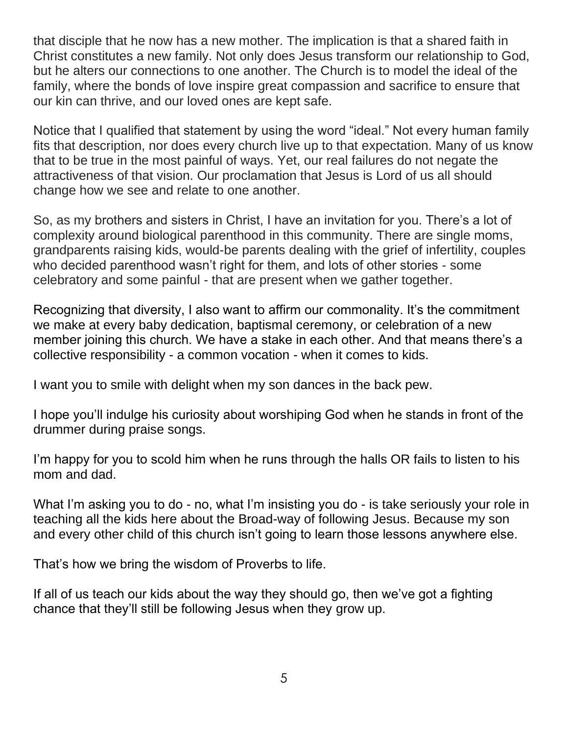that disciple that he now has a new mother. The implication is that a shared faith in Christ constitutes a new family. Not only does Jesus transform our relationship to God, but he alters our connections to one another. The Church is to model the ideal of the family, where the bonds of love inspire great compassion and sacrifice to ensure that our kin can thrive, and our loved ones are kept safe.

Notice that I qualified that statement by using the word "ideal." Not every human family fits that description, nor does every church live up to that expectation. Many of us know that to be true in the most painful of ways. Yet, our real failures do not negate the attractiveness of that vision. Our proclamation that Jesus is Lord of us all should change how we see and relate to one another.

So, as my brothers and sisters in Christ, I have an invitation for you. There's a lot of complexity around biological parenthood in this community. There are single moms, grandparents raising kids, would-be parents dealing with the grief of infertility, couples who decided parenthood wasn't right for them, and lots of other stories - some celebratory and some painful - that are present when we gather together.

Recognizing that diversity, I also want to affirm our commonality. It's the commitment we make at every baby dedication, baptismal ceremony, or celebration of a new member joining this church. We have a stake in each other. And that means there's a collective responsibility - a common vocation - when it comes to kids.

I want you to smile with delight when my son dances in the back pew.

I hope you'll indulge his curiosity about worshiping God when he stands in front of the drummer during praise songs.

I'm happy for you to scold him when he runs through the halls OR fails to listen to his mom and dad.

What I'm asking you to do - no, what I'm insisting you do - is take seriously your role in teaching all the kids here about the Broad-way of following Jesus. Because my son and every other child of this church isn't going to learn those lessons anywhere else.

That's how we bring the wisdom of Proverbs to life.

If all of us teach our kids about the way they should go, then we've got a fighting chance that they'll still be following Jesus when they grow up.